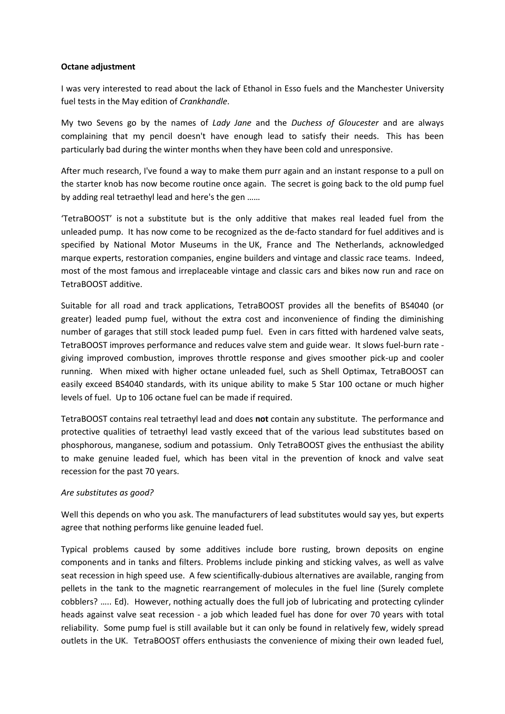## **Octane adjustment**

I was very interested to read about the lack of Ethanol in Esso fuels and the Manchester University fuel tests in the May edition of *Crankhandle*.

My two Sevens go by the names of *Lady Jane* and the *Duchess of Gloucester* and are always complaining that my pencil doesn't have enough lead to satisfy their needs. This has been particularly bad during the winter months when they have been cold and unresponsive.

After much research, I've found a way to make them purr again and an instant response to a pull on the starter knob has now become routine once again. The secret is going back to the old pump fuel by adding real tetraethyl lead and here's the gen ……

'TetraBOOST' is not a substitute but is the only additive that makes real leaded fuel from the unleaded pump. It has now come to be recognized as the de-facto standard for fuel additives and is specified by National Motor Museums in the UK, France and The Netherlands, acknowledged marque experts, restoration companies, engine builders and vintage and classic race teams. Indeed, most of the most famous and irreplaceable vintage and classic cars and bikes now run and race on TetraBOOST additive.

Suitable for all road and track applications, TetraBOOST provides all the benefits of BS4040 (or greater) leaded pump fuel, without the extra cost and inconvenience of finding the diminishing number of garages that still stock leaded pump fuel. Even in cars fitted with hardened valve seats, TetraBOOST improves performance and reduces valve stem and guide wear. It slows fuel-burn rate giving improved combustion, improves throttle response and gives smoother pick-up and cooler running. When mixed with higher octane unleaded fuel, such as Shell Optimax, TetraBOOST can easily exceed BS4040 standards, with its unique ability to make 5 Star 100 octane or much higher levels of fuel. Up to 106 octane fuel can be made if required.

TetraBOOST contains real tetraethyl lead and does **not** contain any substitute. The performance and protective qualities of tetraethyl lead vastly exceed that of the various lead substitutes based on phosphorous, manganese, sodium and potassium. Only TetraBOOST gives the enthusiast the ability to make genuine leaded fuel, which has been vital in the prevention of knock and valve seat recession for the past 70 years.

## *Are substitutes as good?*

Well this depends on who you ask. The manufacturers of lead substitutes would say yes, but experts agree that nothing performs like genuine leaded fuel.

Typical problems caused by some additives include bore rusting, brown deposits on engine components and in tanks and filters. Problems include pinking and sticking valves, as well as valve seat recession in high speed use. A few scientifically-dubious alternatives are available, ranging from pellets in the tank to the magnetic rearrangement of molecules in the fuel line (Surely complete cobblers? ….. Ed). However, nothing actually does the full job of lubricating and protecting cylinder heads against valve seat recession - a job which leaded fuel has done for over 70 years with total reliability. Some pump fuel is still available but it can only be found in relatively few, widely spread outlets in the UK. TetraBOOST offers enthusiasts the convenience of mixing their own leaded fuel,